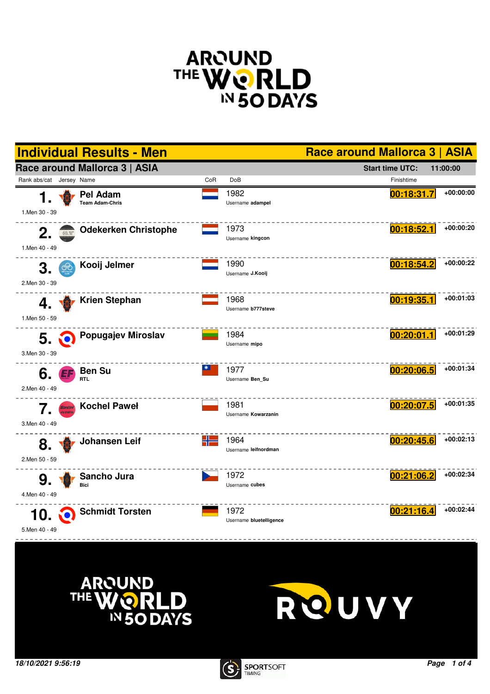







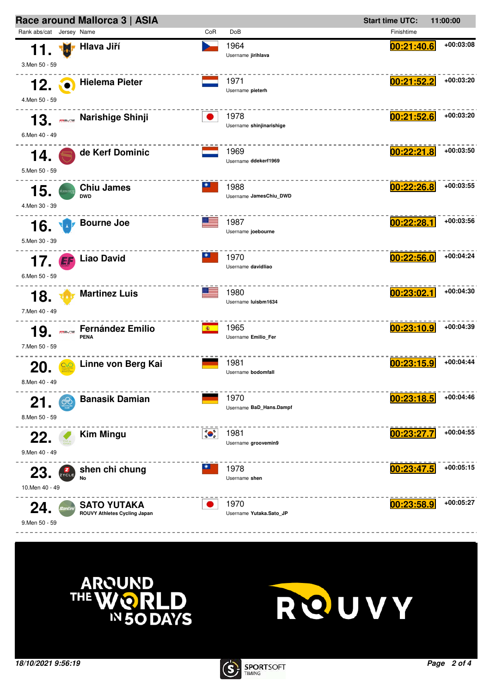





**QUVY**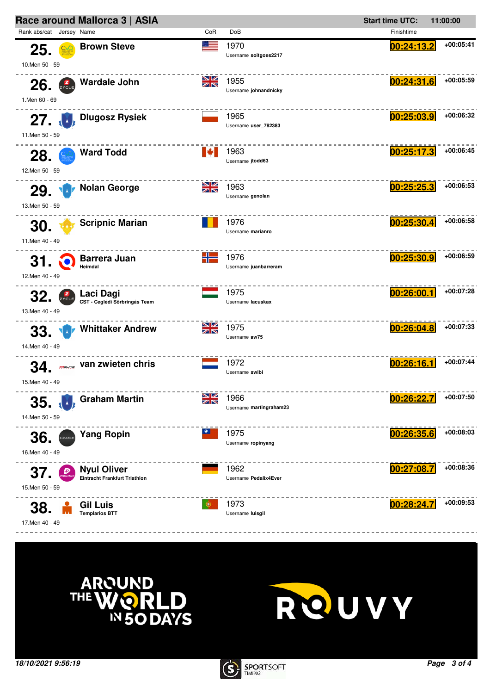